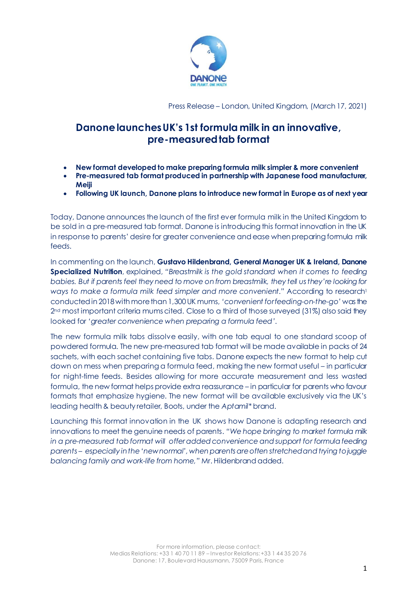

Press Release – London, United Kingdom, (March 17, 2021)

## **Danonelaunches UK's 1st formula milk in an innovative, pre-measured tab format**

- **New format developed to make preparing formula milk simpler & more convenient**
- **Pre-measured tab format produced in partnership with Japanese food manufacturer, Meiji**
- **Following UK launch, Danone plans to introduce new format in Europe as of next year**

Today, Danone announces the launch of the first ever formula milk in the United Kingdom to be sold in a pre-measured tab format. Danone is introducing this format innovation in the UK in response to parents' desire for greater convenience and ease when preparing formula milk feeds.

In commenting on the launch, **Gustavo Hildenbrand, General Manager UK & Ireland, Danone Specialized Nutrition**, explained, *"Breastmilk is the gold standard when it comes to feeding babies. But if parents feel they need to move on from breastmilk, they tell usthey're looking for ways to make a formula milk feed simpler and more convenient."* According to research<sup>1</sup> conducted in 2018 with more than 1,300 UK mums, *'convenient for feeding-on-the-go'* was the 2nd most important criteria mums cited. Close to a third of those surveyed (31%) also said they looked for *'greater convenience when preparing a formula feed'*.

The new formula milk tabs dissolve easily, with one tab equal to one standard scoop of powdered formula. The new pre-measured tab format will be made available in packs of 24 sachets, with each sachet containing five tabs. Danone expects the new format to help cut down on mess when preparing a formula feed, making the new format useful – in particular for night-time feeds. Besides allowing for more accurate measurement and less wasted formula, the new format helps provide extra reassurance – in particular for parents who favour formats that emphasize hygiene. The new format will be available exclusively via the UK's leading health & beauty retailer, Boots, under the *Aptamil\** brand.

Launching this format innovation in the UK shows how Danone is adapting research and innovations to meet the genuine needs of parents. *"We hope bringing to market formula milk in a pre-measured tab format will offer added convenience and support for formula feeding parents – especially inthe 'new normal', whenparents are often stretched and trying to juggle balancing family and work-life from home,"* Mr. Hildenbrand added.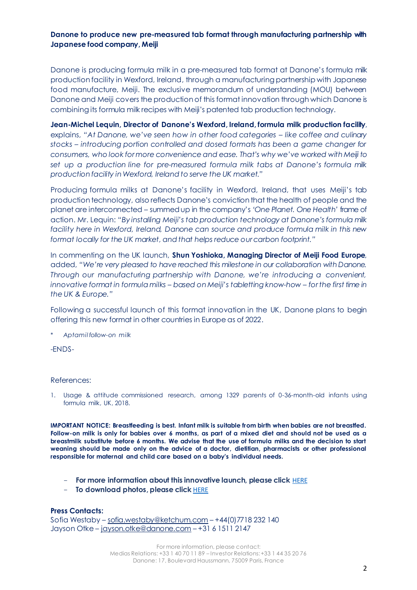## **Danone to produce new pre-measured tab format through manufacturing partnership with Japanese food company, Meiji**

Danone is producing formula milk in a pre-measured tab format at Danone's formula milk production facility in Wexford, Ireland, through a manufacturing partnership with Japanese food manufacture, Meiji. The exclusive memorandum of understanding (MOU) between Danone and Meiji covers the production of this format innovation through which Danone is combining its formula milk recipes with Meiji's patented tab production technology.

**Jean-Michel Lequin, Director of Danone's Wexford, Ireland, formula milk production facility**, explains, *"At Danone, we've seen how in other food categories – like coffee and culinary stocks – introducing portion controlled and dosed formats has been a game changer for consumers, who look for more convenience and ease. That's why we've worked with Meiji to set up a production line for pre-measured formula milk tabs at Danone's formula milk production facility in Wexford, Ireland to serve the UK market."*

Producing formula milks at Danone's facility in Wexford, Ireland, that uses Meiji's tab production technology, also reflects Danone's conviction that the health of people and the planet are interconnected – summed up in the company's *'One Planet. One Health'* frame of action. Mr. Lequin: "*By installing Meiji's tab production technology at Danone's formula milk facility here in Wexford, Ireland, Danone can source and produce formula milk in this new format locally for the UK market, and that helps reduce our carbon footprint."*

In commenting on the UK launch, **Shun Yoshioka, Managing Director of Meiji Food Europe**, added, *"We're very pleased to have reached this milestone in our collaboration with Danone. Through our manufacturing partnership with Danone, we're introducing a convenient, innovative format in formula milks – based on Meiji's tabletting know-how – for the first time in the UK & Europe."*

Following a successful launch of this format innovation in the UK, Danone plans to begin offering this new format in other countries in Europe as of 2022.

\* *Aptamil follow-on milk*

-ENDS-

## References:

1. Usage & attitude commissioned research, among 1329 parents of 0-36-month-old infants using formula milk, UK, 2018.

**IMPORTANT NOTICE: Breastfeeding is best. Infant milk is suitable from birth when babies are not breastfed. Follow-on milk is only for babies over 6 months, as part of a mixed diet and should not be used as a breastmilk substitute before 6 months. We advise that the use of formula milks and the decision to start weaning should be made only on the advice of a doctor, dietitian, pharmacists or other professional responsible for maternal and child care based on a baby's individual needs.**

- **For more information about this innovative launch, please click** [HERE](https://www.danone.com/stories/articles-list/formula-milk-feeding.html)
- **To download photos, please click** [HERE](https://danone-my.sharepoint.com/:f:/p/noeline_louat/EoLTpZGmPiJHoyxVxAg0JmoB_Ips2akE4-WwQPo0CW8bHQ?e=UA50hY)

**Press Contacts:** 

Sofia Westaby – [sofia.westaby@ketchum.com](mailto:sofia.westaby@ketchum.com) – +44(0)7718 232 140 Jayson Otke – [jayson.otke@danone.com](mailto:jayson.otke@danone.com) – +31 6 1511 2147